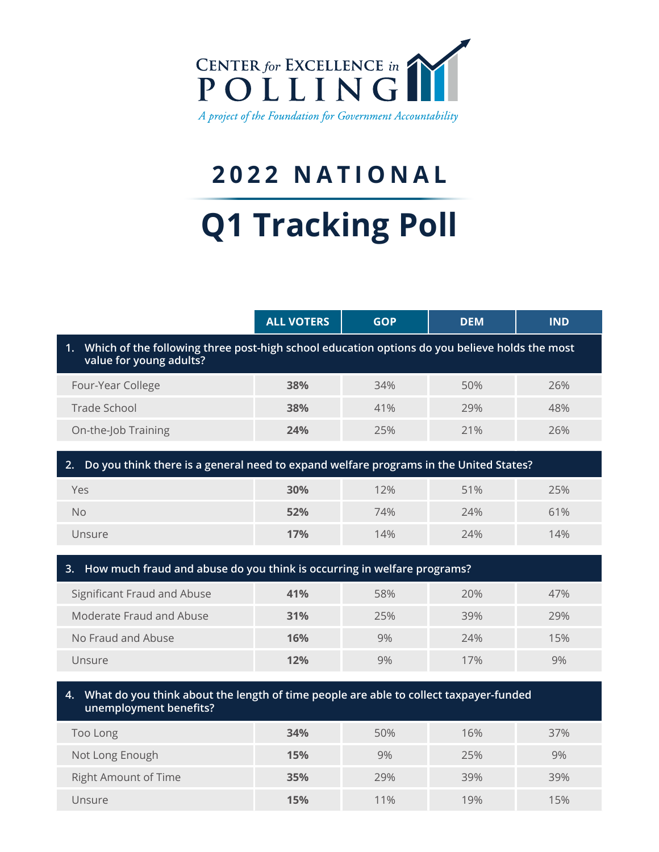

## **2022 NATIONAL**

# **Q1 Tracking Poll**

|                                                                                                                             | <b>ALL VOTERS</b> | <b>GOP</b> | <b>DEM</b> | <b>IND</b> |  |  |
|-----------------------------------------------------------------------------------------------------------------------------|-------------------|------------|------------|------------|--|--|
| 1. Which of the following three post-high school education options do you believe holds the most<br>value for young adults? |                   |            |            |            |  |  |
| Four-Year College                                                                                                           | 38%               | 34%        | 50%        | 26%        |  |  |
| <b>Trade School</b>                                                                                                         | 38%               | 41%        | 29%        | 48%        |  |  |
| On-the-Job Training                                                                                                         | 24%               | 25%        | 21%        | 26%        |  |  |
| Do you think there is a general need to expand welfare programs in the United States?<br>2.                                 |                   |            |            |            |  |  |
| Yes                                                                                                                         | 30%               | 12%        | 51%        | 25%        |  |  |
| <b>No</b>                                                                                                                   | 52%               | 74%        | 24%        | 61%        |  |  |
| Unsure                                                                                                                      | 17%               | 14%        | 24%        | 14%        |  |  |
| How much fraud and abuse do you think is occurring in welfare programs?<br>3.                                               |                   |            |            |            |  |  |
| Significant Fraud and Abuse                                                                                                 | 41%               | 58%        | 20%        | 47%        |  |  |
| Moderate Fraud and Abuse                                                                                                    | 31%               | 25%        | 39%        | 29%        |  |  |
| No Fraud and Abuse                                                                                                          | 16%               | 9%         | 74%        | 15%        |  |  |
| Unsure                                                                                                                      | 12%               | 9%         | 17%        | 9%         |  |  |

#### **4. What do you think about the length of time people are able to collect taxpayer-funded unemployment benefits?**

| Too Long                    | 34% | 50% | 16% | 37% |
|-----------------------------|-----|-----|-----|-----|
| Not Long Enough             | 15% | 9%  | 25% | 9%  |
| <b>Right Amount of Time</b> | 35% | 29% | 39% | 39% |
| Unsure                      | 15% | 11% | 19% | 15% |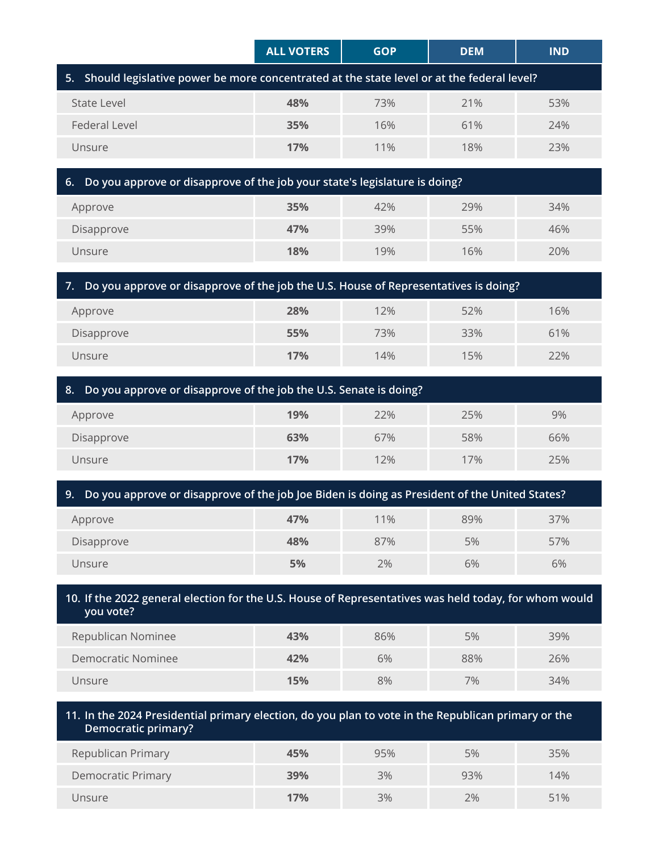|                                                                                              | <b>ALL VOTERS</b> | <b>GOP</b> | <b>DEM</b> | <b>IND</b> |  |
|----------------------------------------------------------------------------------------------|-------------------|------------|------------|------------|--|
| 5. Should legislative power be more concentrated at the state level or at the federal level? |                   |            |            |            |  |
| State Level                                                                                  | 48%               | 73%        | 21%        | 53%        |  |
| Federal Level                                                                                | <b>35%</b>        | 16%        | 61%        | 24%        |  |
| Unsure                                                                                       | 17%               | 11%        | 18%        | 23%        |  |
|                                                                                              |                   |            |            |            |  |

| 6. Do you approve or disapprove of the job your state's legislature is doing? |     |     |     |     |  |
|-------------------------------------------------------------------------------|-----|-----|-----|-----|--|
| Approve                                                                       | 35% | 42% | 79% | 34% |  |
| Disapprove                                                                    | 47% | 39% | 55% | 46% |  |
| Unsure                                                                        | 18% | 19% | 16% | 20% |  |

| 7. Do you approve or disapprove of the job the U.S. House of Representatives is doing? |     |     |     |     |  |  |
|----------------------------------------------------------------------------------------|-----|-----|-----|-----|--|--|
| Approve                                                                                | 28% | 12% | 52% | 16% |  |  |
| Disapprove                                                                             | 55% | 73% | 33% | 61% |  |  |
| 17%<br>22%<br>14%<br>15%<br>Unsure                                                     |     |     |     |     |  |  |

| 8. Do you approve or disapprove of the job the U.S. Senate is doing? |     |     |     |     |  |  |
|----------------------------------------------------------------------|-----|-----|-----|-----|--|--|
| Approve                                                              | 19% | 22% | 25% | 9%  |  |  |
| Disapprove                                                           | 63% | 67% | 58% | 66% |  |  |
| 17%<br>12%<br>17%<br>25%<br>Unsure                                   |     |     |     |     |  |  |

|  |  |  |  | 9. Do you approve or disapprove of the job Joe Biden is doing as President of the United States? |
|--|--|--|--|--------------------------------------------------------------------------------------------------|
|--|--|--|--|--------------------------------------------------------------------------------------------------|

| Approve    | 47% | 11% | 89% | 37% |
|------------|-----|-----|-----|-----|
| Disapprove | 48% | 87% | 5%  | 57% |
| Unsure     | 5%  | 2%  | 6%  | 6%  |

#### **10. If the 2022 general election for the U.S. House of Representatives was held today, for whom would you vote?**

| Republican Nominee | 43% | 86% | 5%  | 39% |
|--------------------|-----|-----|-----|-----|
| Democratic Nominee | 42% | 6%  | 88% | 26% |
| Unsure             | 15% | 8%  | 7%  | 34% |

### **11. In the 2024 Presidential primary election, do you plan to vote in the Republican primary or the Democratic primary?** Republican Primary **45%** 95% 5% 35% Democratic Primary **39%** 3% 93% 14% Unsure **17%** 3% 2% 51%